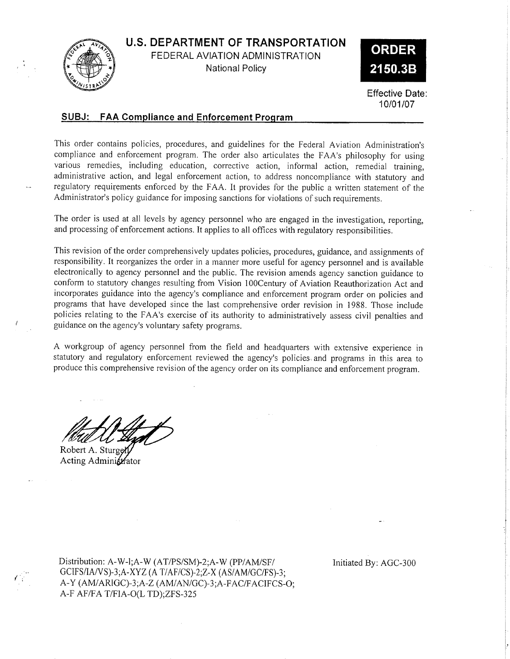U.S. DEPARTMENT OF TRANSPORTATION



FEDERAL AVIATION ADMINISTRATION National Policy



Effective Date: 10/01/07

## SUBJ: FAA Compliance and Enforcement Proqram

This order contains policies, procedures, and guidelines for the Federal Aviation Administration's complìance and enforcement program. The order also articulates the FAA's philosophy for using various remedies, including education, corrective action, informal action, remedial training, administrative action, and legal enforcement action, to address noncompliance with statutory and regulatory requirements enforced by the FAA. It provides for the public a written statement of the Administrator's policy guidance for imposing sanctions for violations of such requirements.

The order is used at all levels by agency personnel who are engaged in the investigation, repofting, and processing of enforcement actions. It applies to all offices with regulatory responsibilities.

This revision of the order comprehensively updates policies, procedures, guidance, and assignments of responsibility. It reorganizes the order in a manner more useful for agency personnel and is available electronically to agency personnel and the public. The revision amends agency sanction guidance to conform to statutory changes resulting from Vision lO0Century of Aviation Reauthorization Act and incorporates guidance into the agency's compliance and enforcement program order on policies and programs that have developed since the last comprehensive order revision in 1988. Those include policies relating to the FAA's exercise of its authority to administratively assess civil penalties and guidance on the agency's voluntary safety programs.

A workgroup of agency personnel from the field and headquarters with extensive experience in statutory and regulatory enforcement reviewed the agency's policies. and programs in this area to produce this comprehensive revision of the agency order on its compliance and enforcement program.

Robert A. Stu Acting Administrator

Distribution: A-W-l;A-W (AT/PS/SM)-2;A-W (PP/AM/SF/ GCIFS/IA/VS)-3;A-XYZ (A T/AF/CS)-2;Z-X (AS/AM/GC/FS)-3; A-Y (AM/ARIGC)-3;A-Z (AM/AN/GC)-3;A-FAC/FACIFCS-O; A-F AF/FA T/FIA-O(L TD);ZFS-325

Initiated By: AGC-300